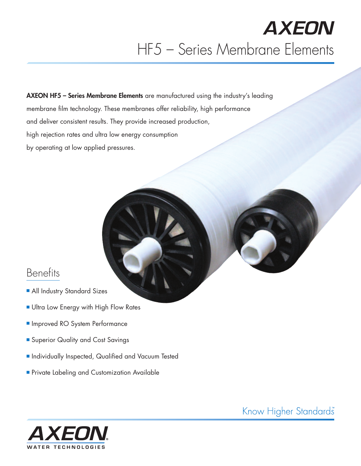**AXEON HF5 – Series Membrane Elements** are manufactured using the industry's leading membrane film technology. These membranes offer reliability, high performance and deliver consistent results. They provide increased production, high rejection rates and ultra low energy consumption by operating at low applied pressures.

## **Benefits**

- **All Industry Standard Sizes**
- **Ultra Low Energy with High Flow Rates**
- **n** Improved RO System Performance
- **E** Superior Quality and Cost Savings
- **n** Individually Inspected, Qualified and Vacuum Tested
- **Private Labeling and Customization Available**

**WATER TECHNOLOGIES** 

Know Higher Standards